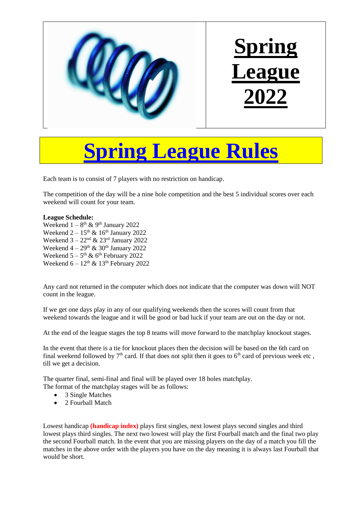

## **Spring League Rules**

Each team is to consist of 7 players with no restriction on handicap.

The competition of the day will be a nine hole competition and the best 5 individual scores over each weekend will count for your team.

## **League Schedule:**

Weekend  $1-8$ <sup>th</sup> & 9<sup>th</sup> January 2022 Weekend  $2 - 15$ <sup>th</sup> & 16<sup>th</sup> January 2022 Weekend  $3 - 22<sup>nd</sup>$  &  $23<sup>rd</sup>$  January 2022 Weekend  $4 - 29$ <sup>th</sup> & 30<sup>th</sup> January 2022 Weekend  $5-5$ <sup>th</sup> & 6<sup>th</sup> February 2022 Weekend  $6 - 12$ <sup>th</sup> & 13<sup>th</sup> February 2022

Any card not returned in the computer which does not indicate that the computer was down will NOT count in the league.

If we get one days play in any of our qualifying weekends then the scores will count from that weekend towards the league and it will be good or bad luck if your team are out on the day or not.

At the end of the league stages the top 8 teams will move forward to the matchplay knockout stages.

In the event that there is a tie for knockout places then the decision will be based on the 6th card on final weekend followed by  $7<sup>th</sup>$  card. If that does not split then it goes to  $6<sup>th</sup>$  card of previous week etc, till we get a decision.

The quarter final, semi-final and final will be played over 18 holes matchplay.

The format of the matchplay stages will be as follows:

- 3 Single Matches
- 2 Fourball Match

Lowest handicap **(handicap index)** plays first singles, next lowest plays second singles and third lowest plays third singles. The next two lowest will play the first Fourball match and the final two play the second Fourball match. In the event that you are missing players on the day of a match you fill the matches in the above order with the players you have on the day meaning it is always last Fourball that would be short.